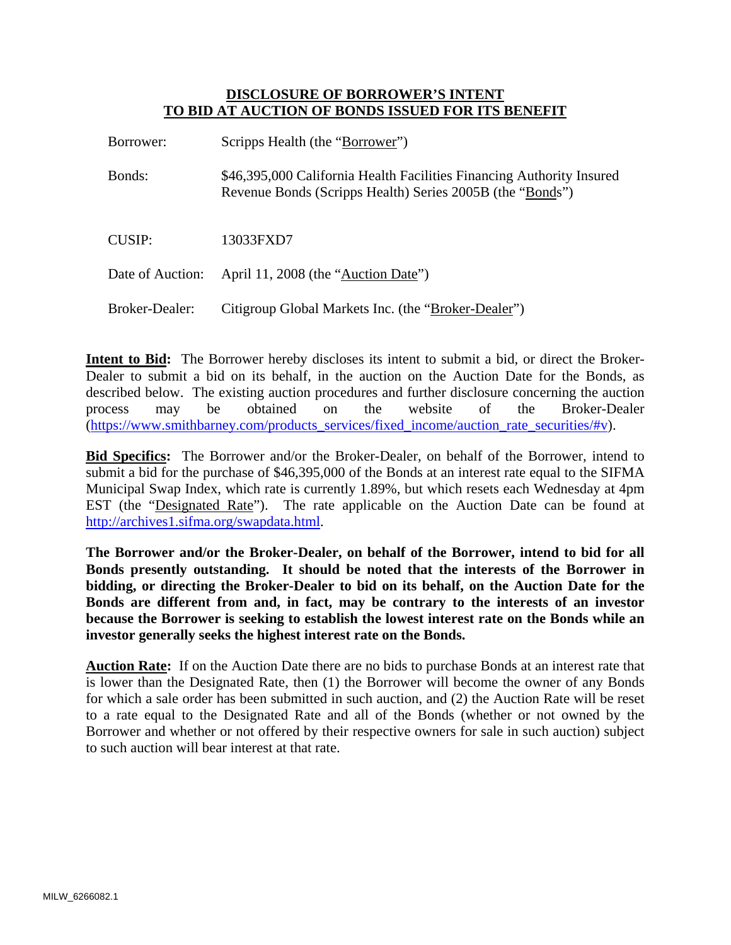## **DISCLOSURE OF BORROWER'S INTENT TO BID AT AUCTION OF BONDS ISSUED FOR ITS BENEFIT**

| Borrower:        | Scripps Health (the "Borrower")                                                                                                    |
|------------------|------------------------------------------------------------------------------------------------------------------------------------|
| Bonds:           | \$46,395,000 California Health Facilities Financing Authority Insured<br>Revenue Bonds (Scripps Health) Series 2005B (the "Bonds") |
| CUSIP:           | 13033FXD7                                                                                                                          |
| Date of Auction: | April 11, 2008 (the "Auction Date")                                                                                                |
| Broker-Dealer:   | Citigroup Global Markets Inc. (the "Broker-Dealer")                                                                                |

**Intent to Bid:** The Borrower hereby discloses its intent to submit a bid, or direct the Broker-Dealer to submit a bid on its behalf, in the auction on the Auction Date for the Bonds, as described below. The existing auction procedures and further disclosure concerning the auction process may be obtained on the website of the Broker-Dealer (https://www.smithbarney.com/products\_services/fixed\_income/auction\_rate\_securities/#v).

**Bid Specifics:** The Borrower and/or the Broker-Dealer, on behalf of the Borrower, intend to submit a bid for the purchase of \$46,395,000 of the Bonds at an interest rate equal to the SIFMA Municipal Swap Index, which rate is currently 1.89%, but which resets each Wednesday at 4pm EST (the "Designated Rate"). The rate applicable on the Auction Date can be found at http://archives1.sifma.org/swapdata.html.

**The Borrower and/or the Broker-Dealer, on behalf of the Borrower, intend to bid for all Bonds presently outstanding. It should be noted that the interests of the Borrower in bidding, or directing the Broker-Dealer to bid on its behalf, on the Auction Date for the Bonds are different from and, in fact, may be contrary to the interests of an investor because the Borrower is seeking to establish the lowest interest rate on the Bonds while an investor generally seeks the highest interest rate on the Bonds.** 

**Auction Rate:** If on the Auction Date there are no bids to purchase Bonds at an interest rate that is lower than the Designated Rate, then (1) the Borrower will become the owner of any Bonds for which a sale order has been submitted in such auction, and (2) the Auction Rate will be reset to a rate equal to the Designated Rate and all of the Bonds (whether or not owned by the Borrower and whether or not offered by their respective owners for sale in such auction) subject to such auction will bear interest at that rate.